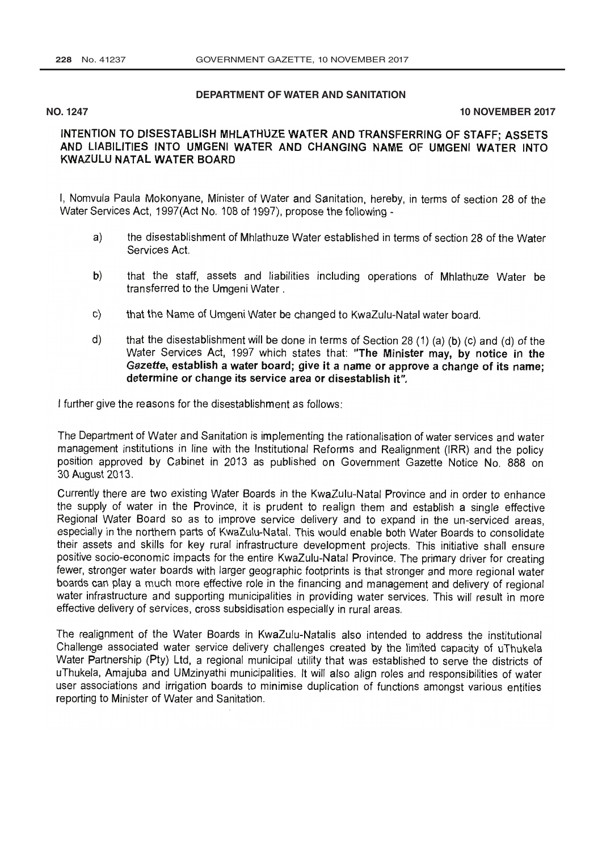## **DEPARTMENT OF WATER AND SANITATION**

## **NO. 1247 10 NOVEMBER 2017**

## INTENTION TO DISESTABLISH MHLATHUZE WATER AND TRANSFERRING OF STAFF; ASSETS<br>AND LIABILITIES INTO UMGENI WATER AND CHANGING NAME OF UMGENI WATER INTO KWAZULU NATAL WATER BOARD

I, Nomvula Paula Mokonyane, Minister of Water and Sanitation, hereby, in terms of section 28 of the [Water Services Act,](http://www.greengazette.co.za/acts/water-services-act_1998-000) 1997(Act No. 108 of 1997), propose the following -

- a) the disestablishment of Mhlathuze Water established in terms of section 28 of the [Water](http://www.greengazette.co.za/acts/water-services-act_1998-000) [Services Act.](http://www.greengazette.co.za/acts/water-services-act_1998-000)
- b) that the staff, assets and liabilities including operations of Mhlathuze Water be transferred to the Umgeni Water .
- c) that the Name of Umgeni Water be changed to KwaZulu-Natal water board.
- d) that the disestablishment will be done in terms of Section 28 (1) (a) (b) (c) and (d) of the [Water Services Act,](http://www.greengazette.co.za/acts/water-services-act_1998-000) 1997 which states that: "The Minister may, by notice in the Gazette, establish a water board; give it a n

I further give the reasons for the disestablishment as follows:

The Department of Water and Sanitation is implementing the rationalisation of water services and water position approved by Cabinet in 2013 as published on [Government Gazette](http://www.greengazette.co.za/government-gazette) Notice No. 888 on<br>30 August 2013.

Currently there are two existing Water Boards in the KwaZulu-Natal Province and in order to enhance<br>the supply of water in the Province, it is prudent to realign them and establish a single effective Regional Water Board so as to improve service delivery and to expand in the un-serviced areas, especially in the northern parts of KwaZulu-Natal. This would enable both Water Boards to consolidate their assets and skills for key rural infrastructure development projects. This initiative shall ensure positive socio-economic impacts for the entire KwaZulu-Natal Province. The primary driver for creating<br>fewer, stronger water boards with larger geographic footprints is that stronger and more regional water boards can play a much more effective role in the financing and management and delivery of regional water infrastructure and supporting municipalities in providing water services. This will result in more effective deliver

The realignment of the Water Boards in KwaZulu-Natalis also intended to address the institutional<br>Challenge associated water service delivery challenges created by the limited capacity of uThukela Water Partnership (Pty) Ltd, a regional municipal utility that was established to serve the districts of uThukela, Amajuba and UMzinyathi municipalities. It will also align roles and responsibilities of water user associations and irrigation boards to minimise duplication of functions amongst various entities reporting to Minister of Water and Sanitation.